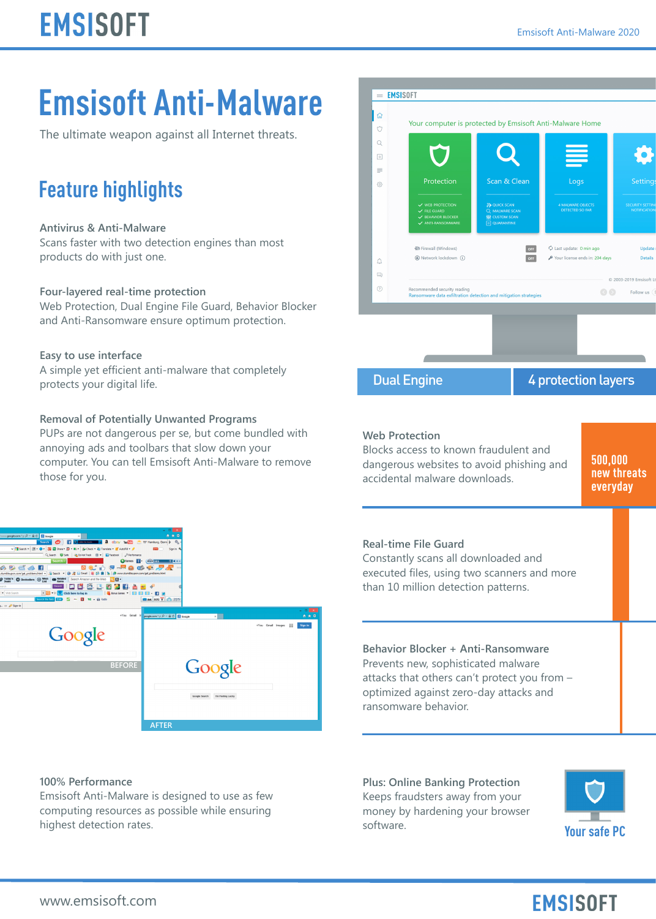## **Emsisoft Anti-Malware**

The ultimate weapon against all Internet threats.

## **Feature highlights**

### **Antivirus & Anti-Malware**

Scans faster with two detection engines than most products do with just one.

#### **Four-layered real-time protection**

Web Protection, Dual Engine File Guard, Behavior Blocker and Anti-Ransomware ensure optimum protection.

#### **Easy to use interface**

A simple yet efficient anti-malware that completely protects your digital life.

#### **Removal of Potentially Unwanted Programs**

PUPs are not dangerous per se, but come bundled with annoying ads and toolbars that slow down your computer. You can tell Emsisoft Anti-Malware to remove those for you.



### **100% Performance**

Emsisoft Anti-Malware is designed to use as few computing resources as possible while ensuring highest detection rates.



**Behavior Blocker + Anti-Ransomware** Prevents new, sophisticated malware attacks that others can't protect you from – optimized against zero-day attacks and ransomware behavior.

**Plus: Online Banking Protection** Keeps fraudsters away from your money by hardening your browser software.



## **EMSISOFT**